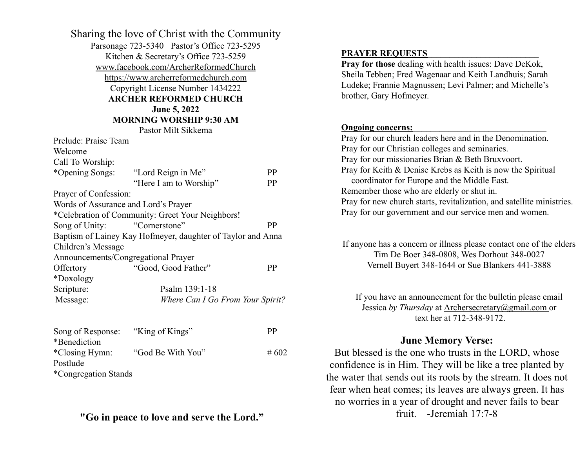| Sharing the love of Christ with the Community<br>Parsonage 723-5340 Pastor's Office 723-5295<br>Kitchen & Secretary's Office 723-5259<br>www.facebook.com/ArcherReformedChurch<br>https://www.archerreformedchurch.com<br>Copyright License Number 1434222<br><b>ARCHER REFORMED CHURCH</b><br>June 5, 2022<br><b>MORNING WORSHIP 9:30 AM</b> |                                                  |         |  |  |
|-----------------------------------------------------------------------------------------------------------------------------------------------------------------------------------------------------------------------------------------------------------------------------------------------------------------------------------------------|--------------------------------------------------|---------|--|--|
|                                                                                                                                                                                                                                                                                                                                               | Pastor Milt Sikkema                              |         |  |  |
| Prelude: Praise Team<br>Welcome<br>Call To Worship:                                                                                                                                                                                                                                                                                           |                                                  |         |  |  |
| *Opening Songs:                                                                                                                                                                                                                                                                                                                               | "Lord Reign in Me"                               | PP      |  |  |
|                                                                                                                                                                                                                                                                                                                                               | "Here I am to Worship"                           | PP      |  |  |
| Prayer of Confession:                                                                                                                                                                                                                                                                                                                         |                                                  |         |  |  |
| Words of Assurance and Lord's Prayer                                                                                                                                                                                                                                                                                                          |                                                  |         |  |  |
|                                                                                                                                                                                                                                                                                                                                               | *Celebration of Community: Greet Your Neighbors! |         |  |  |
| Song of Unity:                                                                                                                                                                                                                                                                                                                                | "Cornerstone"                                    | PP      |  |  |
| Baptism of Lainey Kay Hofmeyer, daughter of Taylor and Anna                                                                                                                                                                                                                                                                                   |                                                  |         |  |  |
| Children's Message                                                                                                                                                                                                                                                                                                                            |                                                  |         |  |  |
| Announcements/Congregational Prayer                                                                                                                                                                                                                                                                                                           |                                                  |         |  |  |
| Offertory                                                                                                                                                                                                                                                                                                                                     | "Good, Good Father"                              | PP      |  |  |
| *Doxology                                                                                                                                                                                                                                                                                                                                     |                                                  |         |  |  |
| Scripture:                                                                                                                                                                                                                                                                                                                                    | Psalm 139:1-18                                   |         |  |  |
| Message:                                                                                                                                                                                                                                                                                                                                      | Where Can I Go From Your Spirit?                 |         |  |  |
| Song of Response:<br>*Benediction                                                                                                                                                                                                                                                                                                             | "King of Kings"                                  | PP      |  |  |
| *Closing Hymn:<br>Postlude<br>*Congregation Stands                                                                                                                                                                                                                                                                                            | "God Be With You"                                | # $602$ |  |  |

## **"Go in peace to love and serve the Lord."**

### **PRAYER REQUESTS\_\_\_\_\_\_\_\_\_\_\_\_\_\_\_\_\_\_\_\_\_\_\_\_\_**

**Pray for those** dealing with health issues: Dave DeKok, Sheila Tebben; Fred Wagenaar and Keith Landhuis; Sarah Ludeke; Frannie Magnussen; Levi Palmer; and Michelle's brother, Gary Hofmeyer.

### **Ongoing concerns:**

Pray for our church leaders here and in the Denomination. Pray for our Christian colleges and seminaries. Pray for our missionaries Brian & Beth Bruxvoort. Pray for Keith & Denise Krebs as Keith is now the Spiritual coordinator for Europe and the Middle East. Remember those who are elderly or shut in. Pray for new church starts, revitalization, and satellite ministries. Pray for our government and our service men and women.

If anyone has a concern or illness please contact one of the elders Tim De Boer 348-0808, Wes Dorhout 348-0027 Vernell Buyert 348-1644 or Sue Blankers 441-3888

If you have an announcement for the bulletin please email Jessica *by Thursday* at [Archersecretary@gmail.com](mailto:Archersecretary@gmail.com) or text her at 712-348-9172.

## **June Memory Verse:**

But blessed is the one who trusts in the LORD, whose confidence is in Him. They will be like a tree planted by the water that sends out its roots by the stream. It does not fear when heat comes; its leaves are always green. It has no worries in a year of drought and never fails to bear fruit. -Jeremiah 17:7-8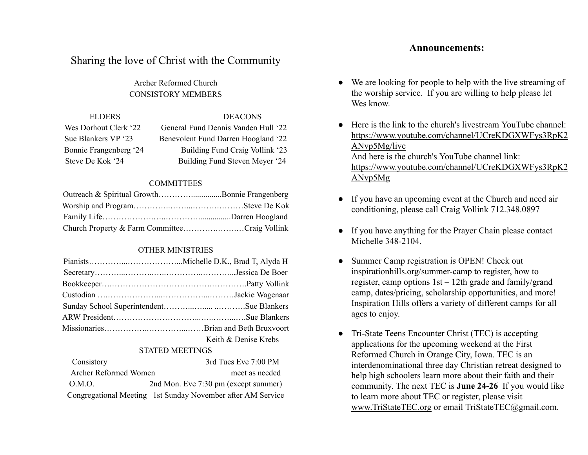# Sharing the love of Christ with the Community

Archer Reformed Church CONSISTORY MEMBERS

| ELDERS.                | <b>DEACONS</b>                      |
|------------------------|-------------------------------------|
| Wes Dorhout Clerk '22  | General Fund Dennis Vanden Hull '22 |
| Sue Blankers VP '23    | Benevolent Fund Darren Hoogland '22 |
| Bonnie Frangenberg '24 | Building Fund Craig Vollink '23     |
| Steve De Kok '24       | Building Fund Steven Meyer '24      |

### **COMMITTEES**

| Outreach & Spiritual GrowthBonnie Frangenberg |  |
|-----------------------------------------------|--|
|                                               |  |
|                                               |  |
| Church Property & Farm CommitteeCraig Vollink |  |

### OTHER MINISTRIES

| Keith & Denise Krebs |
|----------------------|

### STATED MEETINGS

| Consistory            | 3rd Tues Eve 7:00 PM                                        |
|-----------------------|-------------------------------------------------------------|
| Archer Reformed Women | meet as needed                                              |
| O.M.O.                | 2nd Mon. Eve 7:30 pm (except summer)                        |
|                       | Congregational Meeting 1st Sunday November after AM Service |

- We are looking for people to help with the live streaming of the worship service. If you are willing to help please let Wes know.
- Here is the link to the church's livestream YouTube channel: [https://www.youtube.com/channel/UCreKDGXWFys3RpK2](https://www.youtube.com/channel/UCreKDGXWFys3RpK2ANvp5Mg/live?fbclid=IwAR2T5nPeTmO3-J2ezH2UuC-dKpiDHSCE20UnRkBB9E74awVB78GDVWog1XE) [ANvp5Mg/live](https://www.youtube.com/channel/UCreKDGXWFys3RpK2ANvp5Mg/live?fbclid=IwAR2T5nPeTmO3-J2ezH2UuC-dKpiDHSCE20UnRkBB9E74awVB78GDVWog1XE) And here is the church's YouTube channel link: [https://www.youtube.com/channel/UCreKDGXWFys3RpK2](https://www.youtube.com/channel/UCreKDGXWFys3RpK2ANvp5Mg/live?fbclid=IwAR0HL2QFtJ91ZYY4oTW9wAIgsckjIkh_ViZ5NYP6MrjFlRddP0A4vY0spe0) [ANvp5Mg](https://www.youtube.com/channel/UCreKDGXWFys3RpK2ANvp5Mg/live?fbclid=IwAR0HL2QFtJ91ZYY4oTW9wAIgsckjIkh_ViZ5NYP6MrjFlRddP0A4vY0spe0)
- If you have an upcoming event at the Church and need air conditioning, please call Craig Vollink 712.348.0897
- If you have anything for the Prayer Chain please contact Michelle 348-2104.
- Summer Camp registration is OPEN! Check out [inspirationhills.org/summer-camp](https://www.inspirationhills.org/summer-camp/) to register, how to register, camp options 1st – 12th grade and family/grand camp, dates/pricing, scholarship opportunities, and more! Inspiration Hills offers a variety of different camps for all ages to enjoy.
- Tri-State Teens Encounter Christ (TEC) is accepting applications for the upcoming weekend at the First Reformed Church in Orange City, Iowa. TEC is an interdenominational three day Christian retreat designed to help high schoolers learn more about their faith and their community. The next TEC is **June 24-26** If you would like to learn more about TEC or register, please visit [www.TriStateTEC.org](http://www.tristatetec.org/) or email TriStateTEC@gmail.com.

### **Announcements:**